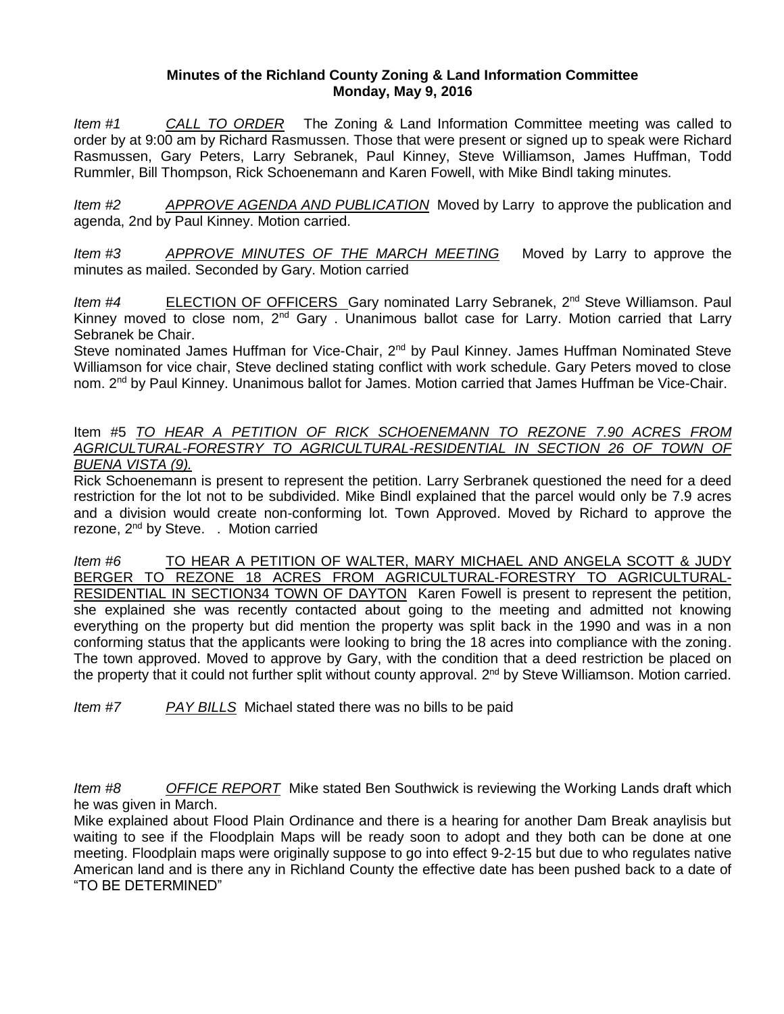## **Minutes of the Richland County Zoning & Land Information Committee Monday, May 9, 2016**

*Item #1 CALL TO ORDER* The Zoning & Land Information Committee meeting was called to order by at 9:00 am by Richard Rasmussen. Those that were present or signed up to speak were Richard Rasmussen, Gary Peters, Larry Sebranek, Paul Kinney, Steve Williamson, James Huffman, Todd Rummler, Bill Thompson, Rick Schoenemann and Karen Fowell, with Mike Bindl taking minutes.

*Item #2 APPROVE AGENDA AND PUBLICATION* Moved by Larry to approve the publication and agenda, 2nd by Paul Kinney. Motion carried.

*Item #3 APPROVE MINUTES OF THE MARCH MEETING* Moved by Larry to approve the minutes as mailed. Seconded by Gary. Motion carried

*Item #4* ELECTION OF OFFICERS Gary nominated Larry Sebranek, 2<sup>nd</sup> Steve Williamson. Paul Kinney moved to close nom,  $2<sup>nd</sup>$  Gary . Unanimous ballot case for Larry. Motion carried that Larry Sebranek be Chair.

Steve nominated James Huffman for Vice-Chair, 2<sup>nd</sup> by Paul Kinney. James Huffman Nominated Steve Williamson for vice chair, Steve declined stating conflict with work schedule. Gary Peters moved to close nom. 2<sup>nd</sup> by Paul Kinney. Unanimous ballot for James. Motion carried that James Huffman be Vice-Chair.

## Item #5 *TO HEAR A PETITION OF RICK SCHOENEMANN TO REZONE 7.90 ACRES FROM AGRICULTURAL-FORESTRY TO AGRICULTURAL-RESIDENTIAL IN SECTION 26 OF TOWN OF BUENA VISTA (9).*

Rick Schoenemann is present to represent the petition. Larry Serbranek questioned the need for a deed restriction for the lot not to be subdivided. Mike Bindl explained that the parcel would only be 7.9 acres and a division would create non-conforming lot. Town Approved. Moved by Richard to approve the rezone, 2<sup>nd</sup> by Steve. . Motion carried

*Item #6* TO HEAR A PETITION OF WALTER, MARY MICHAEL AND ANGELA SCOTT & JUDY BERGER TO REZONE 18 ACRES FROM AGRICULTURAL-FORESTRY TO AGRICULTURAL-RESIDENTIAL IN SECTION34 TOWN OF DAYTON Karen Fowell is present to represent the petition, she explained she was recently contacted about going to the meeting and admitted not knowing everything on the property but did mention the property was split back in the 1990 and was in a non conforming status that the applicants were looking to bring the 18 acres into compliance with the zoning. The town approved. Moved to approve by Gary, with the condition that a deed restriction be placed on the property that it could not further split without county approval. 2<sup>nd</sup> by Steve Williamson. Motion carried.

*Item #7 PAY BILLS* Michael stated there was no bills to be paid

*Item #8 OFFICE REPORT* Mike stated Ben Southwick is reviewing the Working Lands draft which he was given in March.

Mike explained about Flood Plain Ordinance and there is a hearing for another Dam Break anaylisis but waiting to see if the Floodplain Maps will be ready soon to adopt and they both can be done at one meeting. Floodplain maps were originally suppose to go into effect 9-2-15 but due to who regulates native American land and is there any in Richland County the effective date has been pushed back to a date of "TO BE DETERMINED"